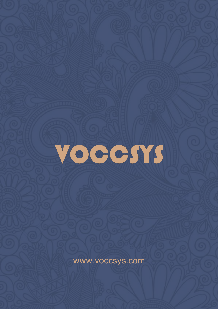

www.voccsys.com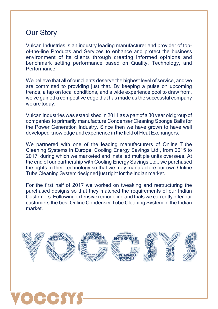# Our Story

 $\bullet$ 

Vulcan Industries is an industry leading manufacturer and provider of topof-the-line Products and Services to enhance and protect the business environment of its clients through creating informed opinions and benchmark setting performance based on Quality, Technology, and Performance.

We believe that all of our clients deserve the highest level of service, and we are committed to providing just that. By keeping a pulse on upcoming trends, a tap on local conditions, and a wide experience pool to draw from, we've gained a competitive edge that has made us the successful company we are today.

Vulcan Industries was established in 2011 as a part of a 30 year old group of companies to primarily manufacture Condenser Cleaning Sponge Balls for the Power Generation Industry. Since then we have grown to have well developed knowledge and experience in the field of Heat Exchangers.

We partnered with one of the leading manufacturers of Online Tube Cleaning Systems in Europe, Cooling Energy Savings Ltd., from 2015 to 2017, during which we marketed and installed multiple units overseas. At the end of our partnership with Cooling Energy Savings Ltd., we purchased the rights to their technology so that we may manufacture our own Online Tube Cleaning System designed just right for the Indian market.

For the first half of 2017 we worked on tweaking and restructuring the purchased designs so that they matched the requirements of our Indian Customers. Following extensive remodeling and trials we currently offer our customers the best Online Condenser Tube Cleaning System in the Indian market.

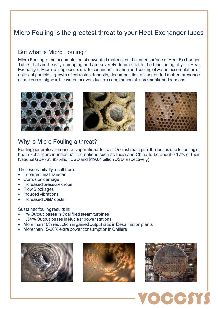# Micro Fouling is the greatest threat to your Heat Exchanger tubes

#### But what is Micro Fouling?

Micro Fouling is the accumulation of unwanted material on the inner surface of Heat Exchanger Tubes that are heavily damaging and are severely detrimental to the functioning of your Heat Exchanger. Micro fouling occurs due to continuous heating and cooling of water, accumulation of colloidal particles, growth of corrosion deposits, decomposition of suspended matter, presence of bacteria or algae in the water, or even due to a combination of afore mentioned reasons.







### Why is Micro Fouling a threat?

Fouling generates tremendous operational losses. One estimate puts the losses due to fouling of heat exchangers in industrialized nations such as India and China to be about 0.17% of their National GDP (\$3.85 billion USD and \$19.04 billion USD respectively).

The losses initially result from:

- Impaired heat transfer
- Corrosion damage
- Increased pressure drops
- Flow Blockages
- Induced vibrations
- Increased O&M costs

Sustained fouling results in:

- 1% Output losses in Coal fired steam turbines
- 1.54% Output losses in Nuclear power stations
- More than 10% reduction in gained output ratio in Desalination plants
- More than 15-20% extra power consumption in Chillers







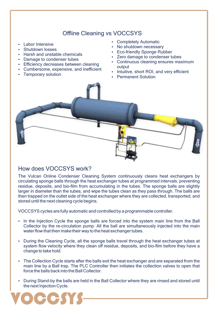## Offline Cleaning vs VOCCSYS

- Labor Intensive
- Shutdown losses
- Harsh and unstable chemicals
- Damage to condenser tubes
- Efficiency decreases between cleaning
- Cumbersome, expensive, and inefficient
- Temporary solution
- Completely Automatic
- No shutdown necessary
- Eco-friendly Sponge Rubber
- Zero damage to condenser tubes
- Continuous cleaning ensures maximum output
- Intuitive, short ROI, and very efficient
- Permanent Solution



#### How does VOCCSYS work?

VOCCSYS

The Vulcan Online Condenser Cleaning System continuously cleans heat exchangers by circulating sponge balls through the heat exchanger tubes at programmed intervals, preventing residue, deposits, and bio-film from accumulating in the tubes. The sponge balls are slightly larger in diameter than the tubes, and wipe the tubes clean as they pass through. The balls are then trapped on the outlet side of the heat exchanger where they are collected, transported, and stored until the next cleaning cycle begins.

VOCCSYS cycles are fully automatic and controlled by a programmable controller.

- In the Injection Cycle the sponge balls are forced into the system main line from the Ball Collector by the re-circulation pump. All the ball are simultaneously injected into the main water flow that then make their way to the heat exchanger tubes.
- During the Cleaning Cycle, all the sponge balls travel through the heat exchanger tubes at system flow velocity where they clean off residue, deposits, and bio-film before they have a change to take hold.
- The Collection Cycle starts after the balls exit the heat exchanger and are separated from the main line by a Ball trap. The PLC Controller then initiates the collection valves to open that force the balls back into the Ball Collector.
- During Stand-by the balls are held in the Ball Collector where they are rinsed and stored until the next Injection Cycle.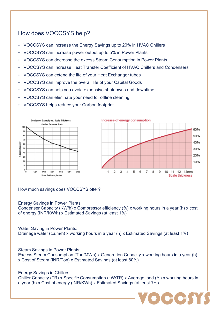## How does VOCCSYS help?

- VOCCSYS can increase the Energy Savings up to 20% in HVAC Chillers
- VOCCSYS can increase power output up to 5% in Power Plants
- VOCCSYS can decrease the excess Steam Consumption in Power Plants
- VOCCSYS can Increase Heat Transfer Coefficient of HVAC Chillers and Condensers
- VOCCSYS can extend the life of your Heat Exchanger tubes
- VOCCSYS can improve the overall life of your Capital Goods
- VOCCSYS can help you avoid expensive shutdowns and downtime
- VOCCSYS can eliminate your need for offline cleaning
- VOCCSYS helps reduce your Carbon footprint



How much savings does VOCCSYS offer?

Energy Savings in Power Plants:

Condenser Capacity (KW/h) x Compressor efficiency (%) x working hours in a year (h) x cost of energy (INR/KW/h) x Estimated Savings (at least 1%)

Water Saving in Power Plants:

Drainage water (cu.m/h) x working hours in a year (h) x Estimated Savings (at least 1%)

Steam Savings in Power Plants:

Excess Steam Consumption (Ton/MWh) x Generation Capacity x working hours in a year (h) x Cost of Steam (INR/Ton) x Estimated Savings (at least 80%)

Energy Savings in Chillers:

Chiller Capacity (TR) x Specific Consumption (kW/TR) x Average load (%) x working hours in a year (h) x Cost of energy (INR/KWh) x Estimated Savings (at least 7%)

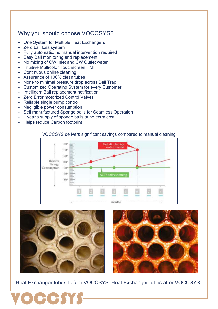## Why you should choose VOCCSYS?

- One System for Multiple Heat Exchangers
- Zero ball loss system
- Fully automatic, no manual intervention required
- Easy Ball monitoring and replacement
- No mixing of CW Inlet and CW Outlet water
- Intuitive Multicolor Touchscreen HMI
- Continuous online cleaning
- Assurance of 100% clean tubes
- None to minimal pressure drop across Ball Trap
- Customized Operating System for every Customer
- Intelligent Ball replacement notification
- Zero Error motorized Control Valves
- Reliable single pump control
- Negligible power consumption
- Self manufactured Sponge balls for Seamless Operation
- 1 year's supply of sponge balls at no extra cost
- Helps reduce Carbon footprint

#### VOCCSYS delivers significant savings compared to manual cleaning







Heat Exchanger tubes before VOCCSYS Heat Exchanger tubes after VOCCSYS

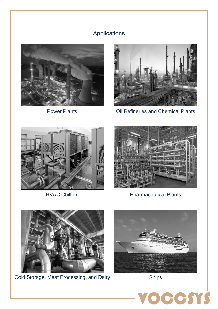# Applications





Power Plants **Dill Refineries and Chemical Plants** 



HVAC Chillers



Pharmaceutical Plants



Cold Storage, Meat Processing, and Dairy